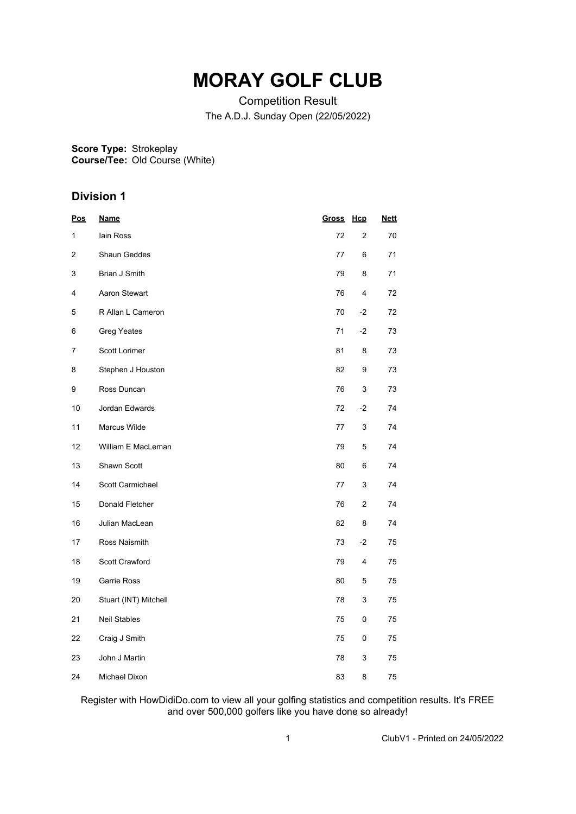# **MORAY GOLF CLUB**

Competition Result The A.D.J. Sunday Open (22/05/2022)

**Score Type: Course/Tee:** Strokeplay Old Course (White)

## **Division 1**

| <u>Pos</u>     | <b>Name</b>           | Gross | Hcp                       | <b>Nett</b> |  |
|----------------|-----------------------|-------|---------------------------|-------------|--|
| 1              | lain Ross             | 72    | 2                         | 70          |  |
| $\overline{2}$ | <b>Shaun Geddes</b>   | 77    | 6                         | 71          |  |
| 3              | Brian J Smith         | 79    | 8                         | 71          |  |
| 4              | Aaron Stewart         | 76    | 4                         | 72          |  |
| 5              | R Allan L Cameron     | 70    | $-2$                      | 72          |  |
| 6              | <b>Greg Yeates</b>    | 71    | $-2$                      | 73          |  |
| 7              | Scott Lorimer         | 81    | 8                         | 73          |  |
| 8              | Stephen J Houston     | 82    | 9                         | 73          |  |
| 9              | Ross Duncan           | 76    | 3                         | 73          |  |
| 10             | Jordan Edwards        | 72    | $-2$                      | 74          |  |
| 11             | Marcus Wilde          | 77    | $\ensuremath{\mathsf{3}}$ | 74          |  |
| 12             | William E MacLeman    | 79    | 5                         | 74          |  |
| 13             | Shawn Scott           | 80    | 6                         | 74          |  |
| 14             | Scott Carmichael      | 77    | 3                         | 74          |  |
| 15             | Donald Fletcher       | 76    | 2                         | 74          |  |
| 16             | Julian MacLean        | 82    | 8                         | 74          |  |
| 17             | Ross Naismith         | 73    | $-2$                      | 75          |  |
| 18             | Scott Crawford        | 79    | 4                         | 75          |  |
| 19             | Garrie Ross           | 80    | 5                         | 75          |  |
| 20             | Stuart (INT) Mitchell | 78    | 3                         | 75          |  |
| 21             | <b>Neil Stables</b>   | 75    | 0                         | 75          |  |
| 22             | Craig J Smith         | 75    | 0                         | 75          |  |
| 23             | John J Martin         | 78    | 3                         | 75          |  |
| 24             | Michael Dixon         | 83    | 8                         | 75          |  |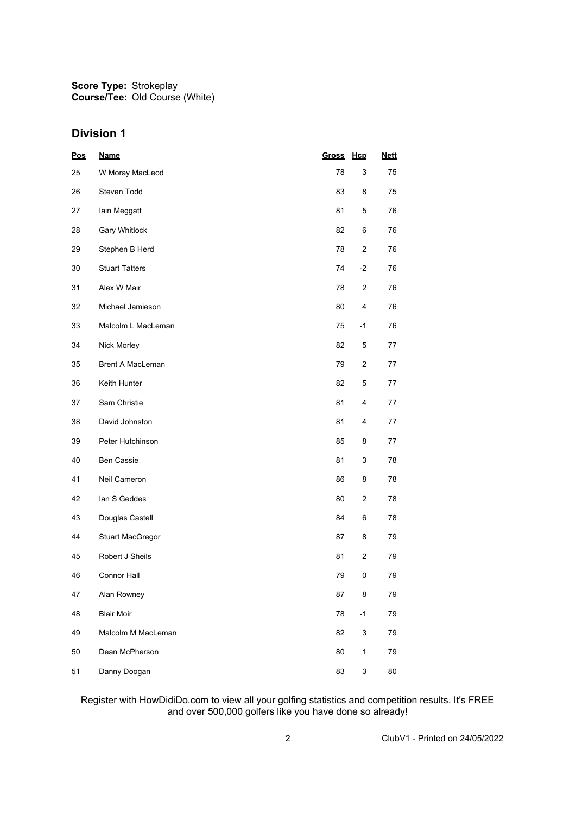## **Division 1**

| <u>Pos</u> | <b>Name</b>             | <b>Gross</b> | Hcp            | <u>Nett</u> |
|------------|-------------------------|--------------|----------------|-------------|
| 25         | W Moray MacLeod         | 78           | 3              | 75          |
| 26         | Steven Todd             | 83           | 8              | 75          |
| 27         | lain Meggatt            | 81           | 5              | 76          |
| 28         | Gary Whitlock           | 82           | 6              | 76          |
| 29         | Stephen B Herd          | 78           | 2              | 76          |
| 30         | <b>Stuart Tatters</b>   | 74           | $-2$           | 76          |
| 31         | Alex W Mair             | 78           | $\overline{2}$ | 76          |
| 32         | Michael Jamieson        | 80           | 4              | 76          |
| 33         | Malcolm L MacLeman      | 75           | $-1$           | 76          |
| 34         | Nick Morley             | 82           | 5              | 77          |
| 35         | Brent A MacLeman        | 79           | 2              | 77          |
| 36         | Keith Hunter            | 82           | 5              | 77          |
| 37         | Sam Christie            | 81           | 4              | 77          |
| 38         | David Johnston          | 81           | 4              | 77          |
| 39         | Peter Hutchinson        | 85           | 8              | 77          |
| 40         | <b>Ben Cassie</b>       | 81           | 3              | 78          |
| 41         | Neil Cameron            | 86           | 8              | 78          |
| 42         | lan S Geddes            | 80           | 2              | 78          |
| 43         | Douglas Castell         | 84           | 6              | 78          |
| 44         | <b>Stuart MacGregor</b> | 87           | 8              | 79          |
| 45         | Robert J Sheils         | 81           | 2              | 79          |
| 46         | <b>Connor Hall</b>      | 79           | 0              | 79          |
| 47         | Alan Rowney             | 87           | 8              | 79          |
| 48         | <b>Blair Moir</b>       | 78           | $-1$           | 79          |
| 49         | Malcolm M MacLeman      | 82           | 3              | 79          |
| 50         | Dean McPherson          | 80           | $\mathbf{1}$   | 79          |
| 51         | Danny Doogan            | 83           | 3              | 80          |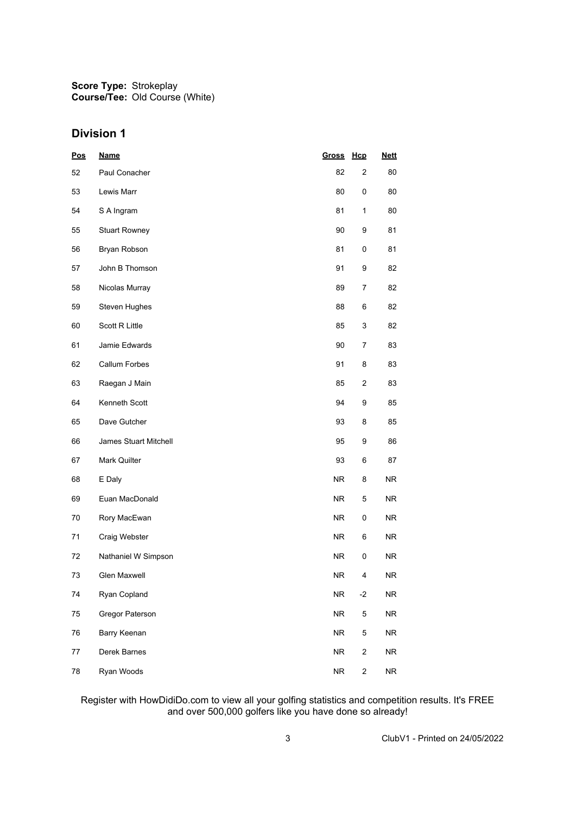## **Division 1**

| <b>Pos</b> | <b>Name</b>           | Gross      | Hcp                     | <b>Nett</b> |
|------------|-----------------------|------------|-------------------------|-------------|
| 52         | Paul Conacher         | 82         | $\overline{2}$          | 80          |
| 53         | Lewis Marr            | 80         | 0                       | 80          |
| 54         | S A Ingram            | 81         | 1                       | 80          |
| 55         | <b>Stuart Rowney</b>  | 90         | 9                       | 81          |
| 56         | Bryan Robson          | 81         | 0                       | 81          |
| 57         | John B Thomson        | 91         | 9                       | 82          |
| 58         | Nicolas Murray        | 89         | 7                       | 82          |
| 59         | Steven Hughes         | 88         | 6                       | 82          |
| 60         | Scott R Little        | 85         | 3                       | 82          |
| 61         | Jamie Edwards         | 90         | 7                       | 83          |
| 62         | Callum Forbes         | 91         | 8                       | 83          |
| 63         | Raegan J Main         | 85         | 2                       | 83          |
| 64         | Kenneth Scott         | 94         | 9                       | 85          |
| 65         | Dave Gutcher          | 93         | 8                       | 85          |
| 66         | James Stuart Mitchell | 95         | 9                       | 86          |
| 67         | Mark Quilter          | 93         | 6                       | 87          |
| 68         | E Daly                | NR.        | 8                       | NR.         |
| 69         | Euan MacDonald        | <b>NR</b>  | 5                       | NR.         |
| 70         | Rory MacEwan          | <b>NR</b>  | 0                       | NR.         |
| 71         | Craig Webster         | NR         | 6                       | <b>NR</b>   |
| 72         | Nathaniel W Simpson   | NR.        | 0                       | NR.         |
| 73         | Glen Maxwell          | NR.        | 4                       | <b>NR</b>   |
| 74         | Ryan Copland          | ${\sf NR}$ | $-2$                    | ${\sf NR}$  |
| 75         | Gregor Paterson       | ${\sf NR}$ | 5                       | <b>NR</b>   |
| 76         | Barry Keenan          | <b>NR</b>  | 5                       | ${\sf NR}$  |
| 77         | Derek Barnes          | ${\sf NR}$ | $\overline{\mathbf{c}}$ | <b>NR</b>   |
| 78         | Ryan Woods            | ${\sf NR}$ | $\overline{\mathbf{c}}$ | <b>NR</b>   |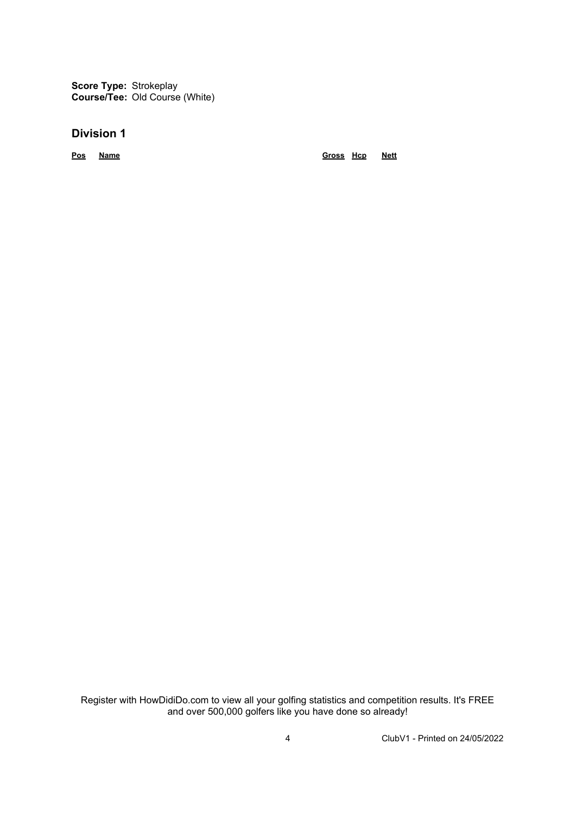**Score Type:** Strokeplay **Course/Tee:** Old Course (White)

### **Division 1**

**Pos Name Gross Hcp Nett**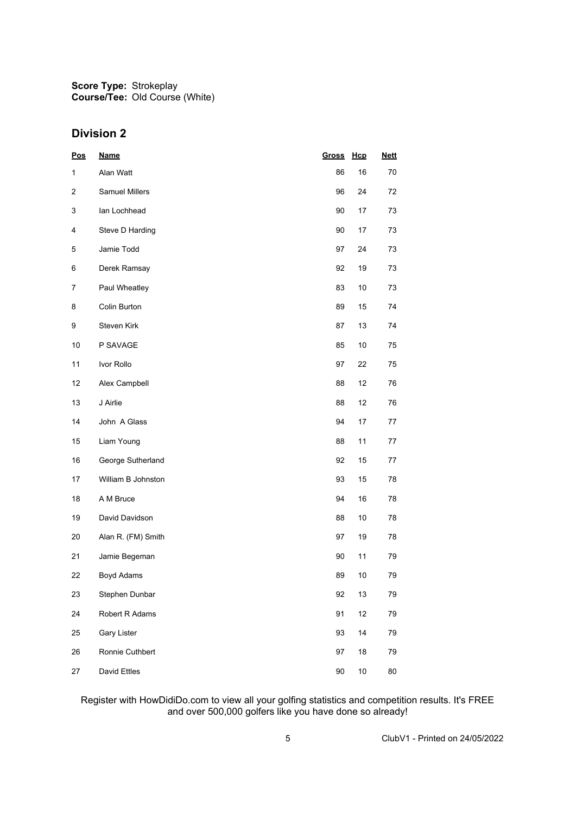## **Division 2**

| <b>Pos</b>   | <b>Name</b>           | Gross | Hcp    | <b>Nett</b> |
|--------------|-----------------------|-------|--------|-------------|
| $\mathbf{1}$ | Alan Watt             | 86    | 16     | 70          |
| 2            | <b>Samuel Millers</b> | 96    | 24     | 72          |
| 3            | lan Lochhead          | 90    | 17     | 73          |
| 4            | Steve D Harding       | 90    | 17     | 73          |
| 5            | Jamie Todd            | 97    | 24     | 73          |
| 6            | Derek Ramsay          | 92    | 19     | 73          |
| 7            | Paul Wheatley         | 83    | 10     | 73          |
| 8            | Colin Burton          | 89    | 15     | 74          |
| 9            | Steven Kirk           | 87    | 13     | 74          |
| 10           | P SAVAGE              | 85    | 10     | 75          |
| 11           | Ivor Rollo            | 97    | 22     | 75          |
| 12           | Alex Campbell         | 88    | 12     | 76          |
| 13           | J Airlie              | 88    | 12     | 76          |
| 14           | John A Glass          | 94    | 17     | 77          |
| 15           | Liam Young            | 88    | 11     | 77          |
| 16           | George Sutherland     | 92    | 15     | 77          |
| 17           | William B Johnston    | 93    | 15     | 78          |
| 18           | A M Bruce             | 94    | 16     | 78          |
| 19           | David Davidson        | 88    | $10$   | 78          |
| 20           | Alan R. (FM) Smith    | 97    | 19     | 78          |
| 21           | Jamie Begeman         | 90    | 11     | 79          |
| 22           | Boyd Adams            | 89    | $10$   | 79          |
| 23           | Stephen Dunbar        | 92    | 13     | 79          |
| 24           | Robert R Adams        | 91    | 12     | 79          |
| 25           | Gary Lister           | 93    | 14     | 79          |
| 26           | Ronnie Cuthbert       | 97    | $18\,$ | 79          |
| 27           | David Ettles          | 90    | $10\,$ | $80\,$      |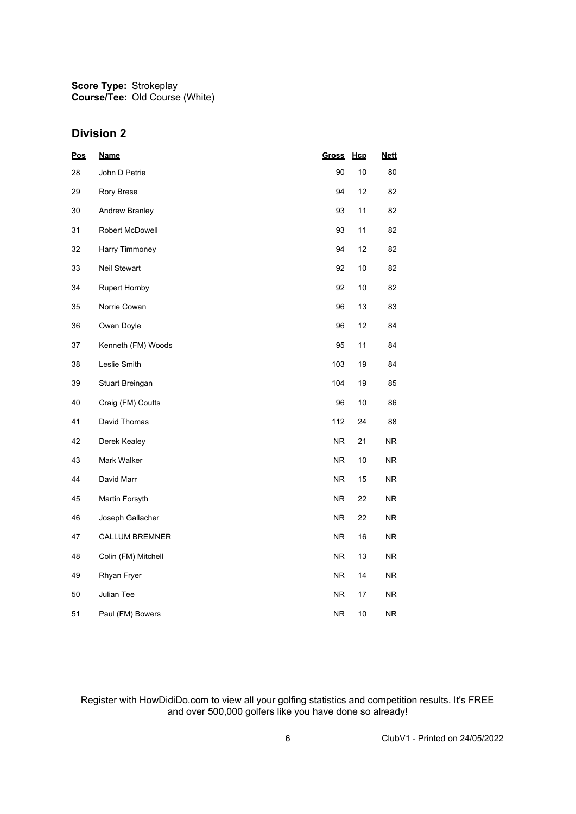## **Division 2**

| <u>Pos</u> | <u>Name</u>            | <b>Gross</b>   | <u>Hcp</u> | <b>Nett</b> |
|------------|------------------------|----------------|------------|-------------|
| 28         | John D Petrie          | 90             | 10         | 80          |
| 29         | Rory Brese             | 94             | 12         | 82          |
| 30         | Andrew Branley         | 93             | 11         | 82          |
| 31         | <b>Robert McDowell</b> | 93             | 11         | 82          |
| 32         | Harry Timmoney         | 94             | 12         | 82          |
| 33         | Neil Stewart           | 92             | 10         | 82          |
| 34         | <b>Rupert Hornby</b>   | 92             | 10         | 82          |
| 35         | Norrie Cowan           | 96             | 13         | 83          |
| 36         | Owen Doyle             | 96             | 12         | 84          |
| 37         | Kenneth (FM) Woods     | 95             | 11         | 84          |
| 38         | Leslie Smith           | 103            | 19         | 84          |
| 39         | Stuart Breingan        | 104            | 19         | 85          |
| 40         | Craig (FM) Coutts      | 96             | 10         | 86          |
| 41         | David Thomas           | 112            | 24         | 88          |
| 42         | Derek Kealey           | NR.            | 21         | <b>NR</b>   |
| 43         | Mark Walker            | <b>NR</b>      | 10         | NR          |
| 44         | David Marr             | <b>NR</b>      | 15         | NR.         |
| 45         | Martin Forsyth         | <b>NR</b>      | 22         | NR          |
| 46         | Joseph Gallacher       | <b>NR</b>      | 22         | NR          |
| 47         | <b>CALLUM BREMNER</b>  | NR.            | 16         | NR.         |
| 48         | Colin (FM) Mitchell    | <b>NR</b>      | 13         | NR.         |
| 49         | Rhyan Fryer            | N <sub>R</sub> | 14         | NR          |
| 50         | Julian Tee             | NR.            | 17         | NR.         |
| 51         | Paul (FM) Bowers       | NR.            | 10         | NR          |